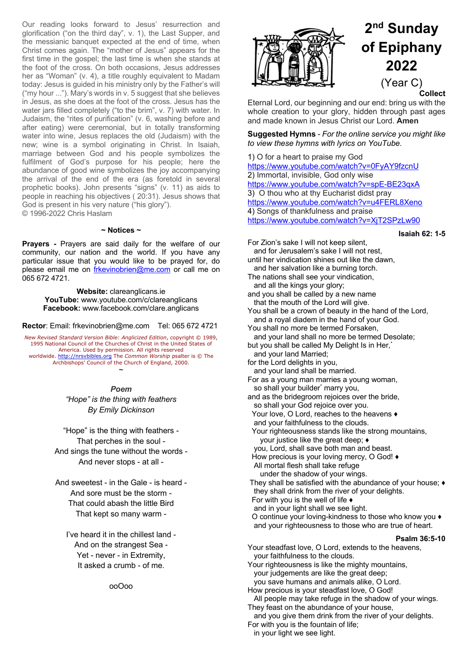Our reading looks forward to Jesus' resurrection and glorification ("on the third day", v. 1), the Last Supper, and the messianic banquet expected at the end of time, when Christ comes again. The "mother of Jesus" appears for the first time in the gospel; the last time is when she stands at the foot of the cross. On both occasions, Jesus addresses her as "Woman" (v. 4), a title roughly equivalent to Madam today: Jesus is guided in his ministry only by the Father's will ("my hour ..."). Mary's words in v. 5 suggest that she believes in Jesus, as she does at the foot of the cross. Jesus has the water jars filled completely ("to the brim", v. 7) with water. In Judaism, the "rites of purification" (v. 6, washing before and after eating) were ceremonial, but in totally transforming water into wine, Jesus replaces the old (Judaism) with the new; wine is a symbol originating in Christ. In Isaiah, marriage between God and his people symbolizes the fulfilment of God's purpose for his people; here the abundance of good wine symbolizes the joy accompanying the arrival of the end of the era (as foretold in several prophetic books). John presents "signs" (v. 11) as aids to people in reaching his objectives ( 20:31). Jesus shows that God is present in his very nature ("his glory"). © 1996-2022 Chris Haslam

#### **~ Notices ~**

**Prayers -** Prayers are said daily for the welfare of our community, our nation and the world. If you have any particular issue that you would like to be prayed for, do please email me on frkevinobrien@me.com or call me on 065 672 4721.

> **Website:** clareanglicans.ie **YouTube:** www.youtube.com/c/clareanglicans **Facebook:** www.facebook.com/clare.anglicans

**Rector**: Email: frkevinobrien@me.com Tel: 065 672 4721

*New Revised Standard Version Bible: Anglicized Edition*, copyright © 1989, 1995 National Council of the Churches of Christ in the United States of America. Used by permission. All rights reserved worldwide. http://nrsvbibles.org The *Common Worship* psalter is © The Archbishops' Council of the Church of England, 2000.

*Poem*

~

*"Hope" is the thing with feathers By Emily Dickinson*

"Hope" is the thing with feathers - That perches in the soul - And sings the tune without the words - And never stops - at all -

And sweetest - in the Gale - is heard - And sore must be the storm - That could abash the little Bird That kept so many warm -

I've heard it in the chillest land - And on the strangest Sea - Yet - never - in Extremity, It asked a crumb - of me.

ooOoo



# **2nd Sunday of Epiphany 2022** (Year C)

**Collect**

Eternal Lord, our beginning and our end: bring us with the whole creation to your glory, hidden through past ages and made known in Jesus Christ our Lord. **Amen**

**Suggested Hymns** - *For the online service you might like to view these hymns with lyrics on YouTube.*

1) O for a heart to praise my God https://www.youtube.com/watch?v=0FyAY9fzcnU 2) Immortal, invisible, God only wise https://www.youtube.com/watch?v=spE-BE23qxA 3) O thou who at thy Eucharist didst pray https://www.youtube.com/watch?v=u4FERL8Xeno 4) Songs of thankfulness and praise https://www.youtube.com/watch?v=XjT2SPzLw90

**Isaiah 62: 1-5**

For Zion's sake I will not keep silent, and for Jerusalem's sake I will not rest, until her vindication shines out like the dawn, and her salvation like a burning torch. The nations shall see your vindication, and all the kings your glory; and you shall be called by a new name that the mouth of the Lord will give. You shall be a crown of beauty in the hand of the Lord, and a royal diadem in the hand of your God. You shall no more be termed Forsaken, and your land shall no more be termed Desolate; but you shall be called My Delight Is in Her,<sup>\*</sup> and your land Married; for the Lord delights in you, and your land shall be married. For as a young man marries a young woman, so shall your builder<sup>\*</sup> marry you, and as the bridegroom rejoices over the bride, so shall your God rejoice over you. Your love, O Lord, reaches to the heavens ♦ and your faithfulness to the clouds. Your righteousness stands like the strong mountains, your justice like the great deep; ♦ you, Lord, shall save both man and beast. How precious is your loving mercy, O God! ♦ All mortal flesh shall take refuge under the shadow of your wings. They shall be satisfied with the abundance of your house; ♦ they shall drink from the river of your delights. For with you is the well of life  $\triangleleft$  and in your light shall we see light. O continue your loving-kindness to those who know you ♦ and your righteousness to those who are true of heart. **Psalm 36:5-10** Your steadfast love, O Lord, extends to the heavens, your faithfulness to the clouds. Your righteousness is like the mighty mountains, your judgements are like the great deep; you save humans and animals alike, O Lord. How precious is your steadfast love, O God! All people may take refuge in the shadow of your wings. They feast on the abundance of your house, and you give them drink from the river of your delights. For with you is the fountain of life;

in your light we see light.